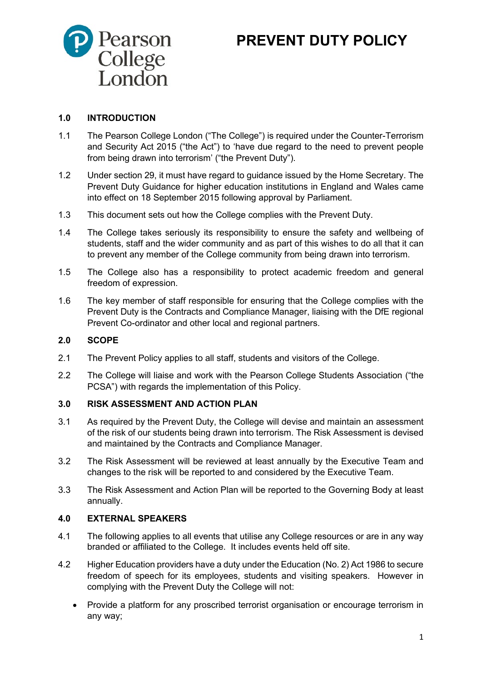

# **PREVENT DUTY POLICY**

#### **1.0 INTRODUCTION**

- 1.1 The Pearson College London ("The College") is required under the Counter-Terrorism and Security Act 2015 ("the Act") to 'have due regard to the need to prevent people from being drawn into terrorism' ("the Prevent Duty").
- 1.2 Under section 29, it must have regard to guidance issued by the Home Secretary. The Prevent Duty Guidance for higher education institutions in England and Wales came into effect on 18 September 2015 following approval by Parliament.
- 1.3 This document sets out how the College complies with the Prevent Duty.
- 1.4 The College takes seriously its responsibility to ensure the safety and wellbeing of students, staff and the wider community and as part of this wishes to do all that it can to prevent any member of the College community from being drawn into terrorism.
- 1.5 The College also has a responsibility to protect academic freedom and general freedom of expression.
- 1.6 The key member of staff responsible for ensuring that the College complies with the Prevent Duty is the Contracts and Compliance Manager, liaising with the DfE regional Prevent Co-ordinator and other local and regional partners.

#### **2.0 SCOPE**

- 2.1 The Prevent Policy applies to all staff, students and visitors of the College.
- 2.2 The College will liaise and work with the Pearson College Students Association ("the PCSA") with regards the implementation of this Policy.

# **3.0 RISK ASSESSMENT AND ACTION PLAN**

- 3.1 As required by the Prevent Duty, the College will devise and maintain an assessment of the risk of our students being drawn into terrorism. The Risk Assessment is devised and maintained by the Contracts and Compliance Manager.
- 3.2 The Risk Assessment will be reviewed at least annually by the Executive Team and changes to the risk will be reported to and considered by the Executive Team.
- 3.3 The Risk Assessment and Action Plan will be reported to the Governing Body at least annually.

#### **4.0 EXTERNAL SPEAKERS**

- 4.1 The following applies to all events that utilise any College resources or are in any way branded or affiliated to the College. It includes events held off site.
- 4.2 Higher Education providers have a duty under the Education (No. 2) Act 1986 to secure freedom of speech for its employees, students and visiting speakers. However in complying with the Prevent Duty the College will not:
	- Provide a platform for any proscribed terrorist organisation or encourage terrorism in any way;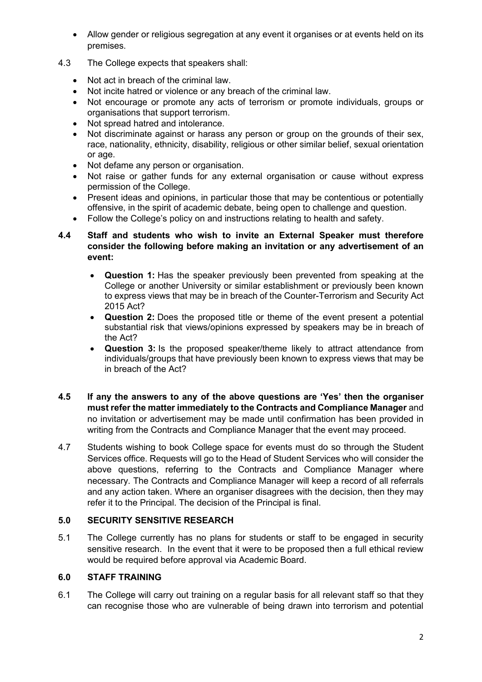- Allow gender or religious segregation at any event it organises or at events held on its premises.
- 4.3 The College expects that speakers shall:
	- Not act in breach of the criminal law.
	- Not incite hatred or violence or any breach of the criminal law.
	- Not encourage or promote any acts of terrorism or promote individuals, groups or organisations that support terrorism.
	- Not spread hatred and intolerance.
	- Not discriminate against or harass any person or group on the grounds of their sex, race, nationality, ethnicity, disability, religious or other similar belief, sexual orientation or age.
	- Not defame any person or organisation.
	- Not raise or gather funds for any external organisation or cause without express permission of the College.
	- Present ideas and opinions, in particular those that may be contentious or potentially offensive, in the spirit of academic debate, being open to challenge and question.
	- Follow the College's policy on and instructions relating to health and safety.

#### **4.4 Staff and students who wish to invite an External Speaker must therefore consider the following before making an invitation or any advertisement of an event:**

- **Question 1:** Has the speaker previously been prevented from speaking at the College or another University or similar establishment or previously been known to express views that may be in breach of the Counter-Terrorism and Security Act 2015 Act?
- **Question 2:** Does the proposed title or theme of the event present a potential substantial risk that views/opinions expressed by speakers may be in breach of the Act?
- **Question 3:** Is the proposed speaker/theme likely to attract attendance from individuals/groups that have previously been known to express views that may be in breach of the Act?
- **4.5 If any the answers to any of the above questions are 'Yes' then the organiser must refer the matter immediately to the Contracts and Compliance Manager** and no invitation or advertisement may be made until confirmation has been provided in writing from the Contracts and Compliance Manager that the event may proceed.
- 4.7 Students wishing to book College space for events must do so through the Student Services office. Requests will go to the Head of Student Services who will consider the above questions, referring to the Contracts and Compliance Manager where necessary. The Contracts and Compliance Manager will keep a record of all referrals and any action taken. Where an organiser disagrees with the decision, then they may refer it to the Principal. The decision of the Principal is final.

## **5.0 SECURITY SENSITIVE RESEARCH**

5.1 The College currently has no plans for students or staff to be engaged in security sensitive research. In the event that it were to be proposed then a full ethical review would be required before approval via Academic Board.

#### **6.0 STAFF TRAINING**

6.1 The College will carry out training on a regular basis for all relevant staff so that they can recognise those who are vulnerable of being drawn into terrorism and potential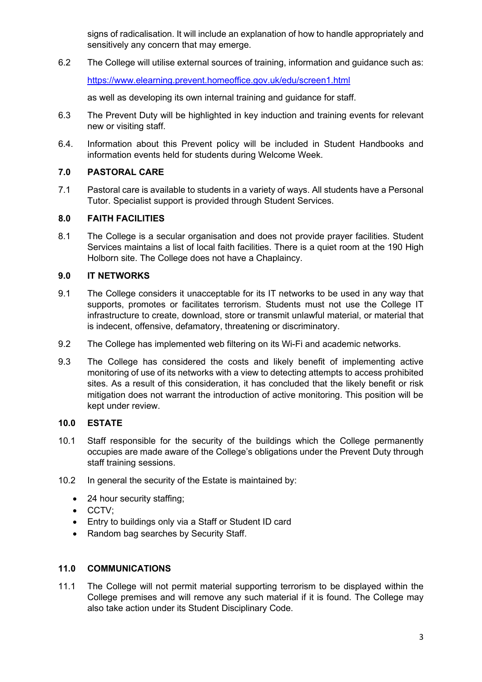signs of radicalisation. It will include an explanation of how to handle appropriately and sensitively any concern that may emerge.

6.2 The College will utilise external sources of training, information and guidance such as: <https://www.elearning.prevent.homeoffice.gov.uk/edu/screen1.html>

as well as developing its own internal training and guidance for staff.

- 6.3 The Prevent Duty will be highlighted in key induction and training events for relevant new or visiting staff.
- 6.4. Information about this Prevent policy will be included in Student Handbooks and information events held for students during Welcome Week.

## **7.0 PASTORAL CARE**

7.1 Pastoral care is available to students in a variety of ways. All students have a Personal Tutor. Specialist support is provided through Student Services.

## **8.0 FAITH FACILITIES**

8.1 The College is a secular organisation and does not provide prayer facilities. Student Services maintains a list of local faith facilities. There is a quiet room at the 190 High Holborn site. The College does not have a Chaplaincy.

## **9.0 IT NETWORKS**

- 9.1 The College considers it unacceptable for its IT networks to be used in any way that supports, promotes or facilitates terrorism. Students must not use the College IT infrastructure to create, download, store or transmit unlawful material, or material that is indecent, offensive, defamatory, threatening or discriminatory.
- 9.2 The College has implemented web filtering on its Wi-Fi and academic networks.
- 9.3 The College has considered the costs and likely benefit of implementing active monitoring of use of its networks with a view to detecting attempts to access prohibited sites. As a result of this consideration, it has concluded that the likely benefit or risk mitigation does not warrant the introduction of active monitoring. This position will be kept under review.

#### **10.0 ESTATE**

- 10.1 Staff responsible for the security of the buildings which the College permanently occupies are made aware of the College's obligations under the Prevent Duty through staff training sessions.
- 10.2 In general the security of the Estate is maintained by:
	- 24 hour security staffing;
	- CCTV;
	- Entry to buildings only via a Staff or Student ID card
	- Random bag searches by Security Staff.

# **11.0 COMMUNICATIONS**

11.1 The College will not permit material supporting terrorism to be displayed within the College premises and will remove any such material if it is found. The College may also take action under its Student Disciplinary Code.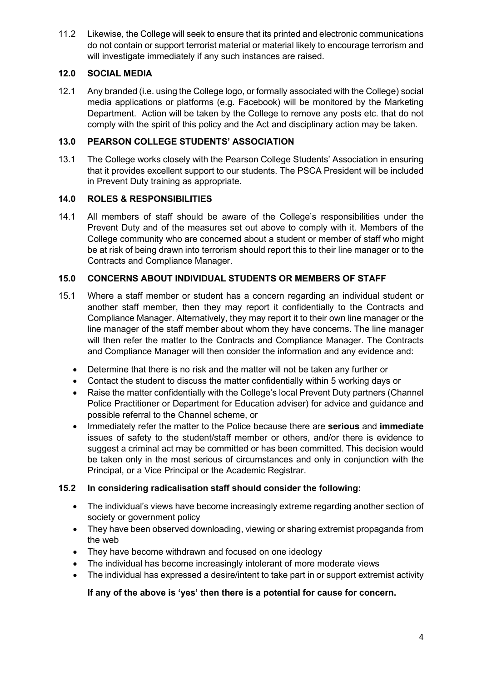11.2 Likewise, the College will seek to ensure that its printed and electronic communications do not contain or support terrorist material or material likely to encourage terrorism and will investigate immediately if any such instances are raised.

## **12.0 SOCIAL MEDIA**

12.1 Any branded (i.e. using the College logo, or formally associated with the College) social media applications or platforms (e.g. Facebook) will be monitored by the Marketing Department. Action will be taken by the College to remove any posts etc. that do not comply with the spirit of this policy and the Act and disciplinary action may be taken.

## **13.0 PEARSON COLLEGE STUDENTS' ASSOCIATION**

13.1 The College works closely with the Pearson College Students' Association in ensuring that it provides excellent support to our students. The PSCA President will be included in Prevent Duty training as appropriate.

## **14.0 ROLES & RESPONSIBILITIES**

14.1 All members of staff should be aware of the College's responsibilities under the Prevent Duty and of the measures set out above to comply with it. Members of the College community who are concerned about a student or member of staff who might be at risk of being drawn into terrorism should report this to their line manager or to the Contracts and Compliance Manager.

## **15.0 CONCERNS ABOUT INDIVIDUAL STUDENTS OR MEMBERS OF STAFF**

- 15.1 Where a staff member or student has a concern regarding an individual student or another staff member, then they may report it confidentially to the Contracts and Compliance Manager. Alternatively, they may report it to their own line manager or the line manager of the staff member about whom they have concerns. The line manager will then refer the matter to the Contracts and Compliance Manager. The Contracts and Compliance Manager will then consider the information and any evidence and:
	- Determine that there is no risk and the matter will not be taken any further or
	- Contact the student to discuss the matter confidentially within 5 working days or
	- Raise the matter confidentially with the College's local Prevent Duty partners (Channel Police Practitioner or Department for Education adviser) for advice and guidance and possible referral to the Channel scheme, or
	- Immediately refer the matter to the Police because there are **serious** and **immediate** issues of safety to the student/staff member or others, and/or there is evidence to suggest a criminal act may be committed or has been committed. This decision would be taken only in the most serious of circumstances and only in conjunction with the Principal, or a Vice Principal or the Academic Registrar.

#### **15.2 In considering radicalisation staff should consider the following:**

- The individual's views have become increasingly extreme regarding another section of society or government policy
- They have been observed downloading, viewing or sharing extremist propaganda from the web
- They have become withdrawn and focused on one ideology
- The individual has become increasingly intolerant of more moderate views
- The individual has expressed a desire/intent to take part in or support extremist activity

# **If any of the above is 'yes' then there is a potential for cause for concern.**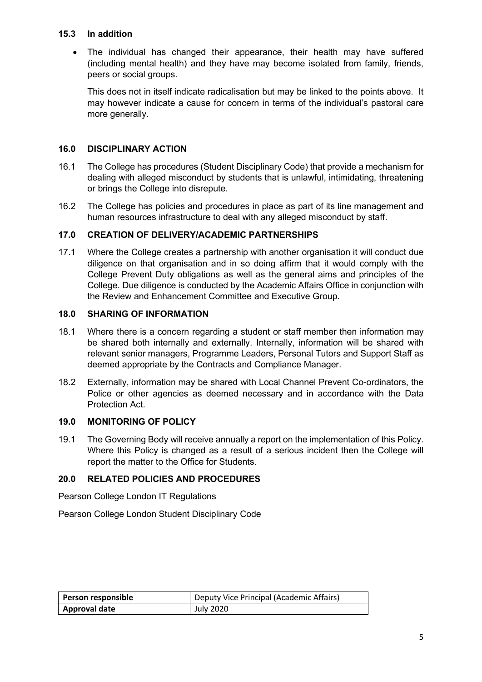#### **15.3 In addition**

• The individual has changed their appearance, their health may have suffered (including mental health) and they have may become isolated from family, friends, peers or social groups.

This does not in itself indicate radicalisation but may be linked to the points above. It may however indicate a cause for concern in terms of the individual's pastoral care more generally.

## **16.0 DISCIPLINARY ACTION**

- 16.1 The College has procedures (Student Disciplinary Code) that provide a mechanism for dealing with alleged misconduct by students that is unlawful, intimidating, threatening or brings the College into disrepute.
- 16.2 The College has policies and procedures in place as part of its line management and human resources infrastructure to deal with any alleged misconduct by staff.

#### **17.0 CREATION OF DELIVERY/ACADEMIC PARTNERSHIPS**

17.1 Where the College creates a partnership with another organisation it will conduct due diligence on that organisation and in so doing affirm that it would comply with the College Prevent Duty obligations as well as the general aims and principles of the College. Due diligence is conducted by the Academic Affairs Office in conjunction with the Review and Enhancement Committee and Executive Group.

#### **18.0 SHARING OF INFORMATION**

- 18.1 Where there is a concern regarding a student or staff member then information may be shared both internally and externally. Internally, information will be shared with relevant senior managers, Programme Leaders, Personal Tutors and Support Staff as deemed appropriate by the Contracts and Compliance Manager.
- 18.2 Externally, information may be shared with Local Channel Prevent Co-ordinators, the Police or other agencies as deemed necessary and in accordance with the Data Protection Act.

#### **19.0 MONITORING OF POLICY**

19.1 The Governing Body will receive annually a report on the implementation of this Policy. Where this Policy is changed as a result of a serious incident then the College will report the matter to the Office for Students.

#### **20.0 RELATED POLICIES AND PROCEDURES**

Pearson College London IT Regulations

Pearson College London Student Disciplinary Code

| Person responsible   | Deputy Vice Principal (Academic Affairs) |
|----------------------|------------------------------------------|
| <b>Approval date</b> | July 2020                                |